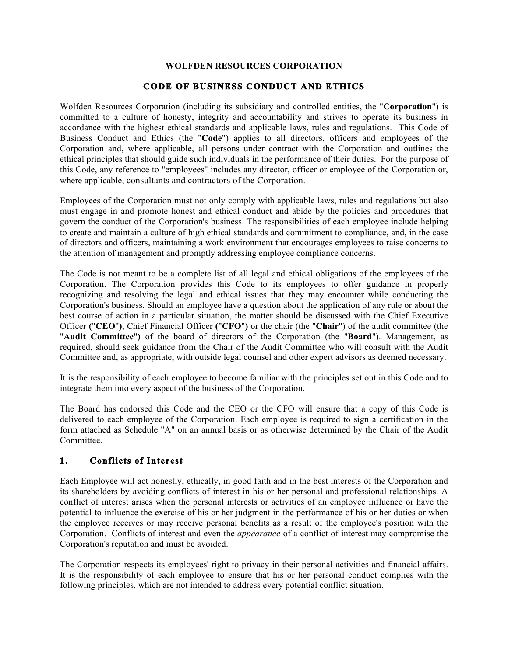#### **WOLFDEN RESOURCES CORPORATION**

## **CODE OF BUSINESS CONDUCT AND ETHICS**

Wolfden Resources Corporation (including its subsidiary and controlled entities, the "**Corporation**") is committed to a culture of honesty, integrity and accountability and strives to operate its business in accordance with the highest ethical standards and applicable laws, rules and regulations. This Code of Business Conduct and Ethics (the "**Code**") applies to all directors, officers and employees of the Corporation and, where applicable, all persons under contract with the Corporation and outlines the ethical principles that should guide such individuals in the performance of their duties. For the purpose of this Code, any reference to "employees" includes any director, officer or employee of the Corporation or, where applicable, consultants and contractors of the Corporation.

Employees of the Corporation must not only comply with applicable laws, rules and regulations but also must engage in and promote honest and ethical conduct and abide by the policies and procedures that govern the conduct of the Corporation's business. The responsibilities of each employee include helping to create and maintain a culture of high ethical standards and commitment to compliance, and, in the case of directors and officers, maintaining a work environment that encourages employees to raise concerns to the attention of management and promptly addressing employee compliance concerns.

The Code is not meant to be a complete list of all legal and ethical obligations of the employees of the Corporation. The Corporation provides this Code to its employees to offer guidance in properly recognizing and resolving the legal and ethical issues that they may encounter while conducting the Corporation's business. Should an employee have a question about the application of any rule or about the best course of action in a particular situation, the matter should be discussed with the Chief Executive Officer **(**"**CEO**"**)**, Chief Financial Officer **(**"**CFO**"**)** or the chair (the "**Chair**") of the audit committee (the "**Audit Committee**"**)** of the board of directors of the Corporation (the "**Board**"). Management, as required, should seek guidance from the Chair of the Audit Committee who will consult with the Audit Committee and, as appropriate, with outside legal counsel and other expert advisors as deemed necessary.

It is the responsibility of each employee to become familiar with the principles set out in this Code and to integrate them into every aspect of the business of the Corporation.

The Board has endorsed this Code and the CEO or the CFO will ensure that a copy of this Code is delivered to each employee of the Corporation. Each employee is required to sign a certification in the form attached as Schedule "A" on an annual basis or as otherwise determined by the Chair of the Audit **Committee** 

## **1. Conflicts of Interest**

Each Employee will act honestly, ethically, in good faith and in the best interests of the Corporation and its shareholders by avoiding conflicts of interest in his or her personal and professional relationships. A conflict of interest arises when the personal interests or activities of an employee influence or have the potential to influence the exercise of his or her judgment in the performance of his or her duties or when the employee receives or may receive personal benefits as a result of the employee's position with the Corporation. Conflicts of interest and even the *appearance* of a conflict of interest may compromise the Corporation's reputation and must be avoided.

The Corporation respects its employees' right to privacy in their personal activities and financial affairs. It is the responsibility of each employee to ensure that his or her personal conduct complies with the following principles, which are not intended to address every potential conflict situation.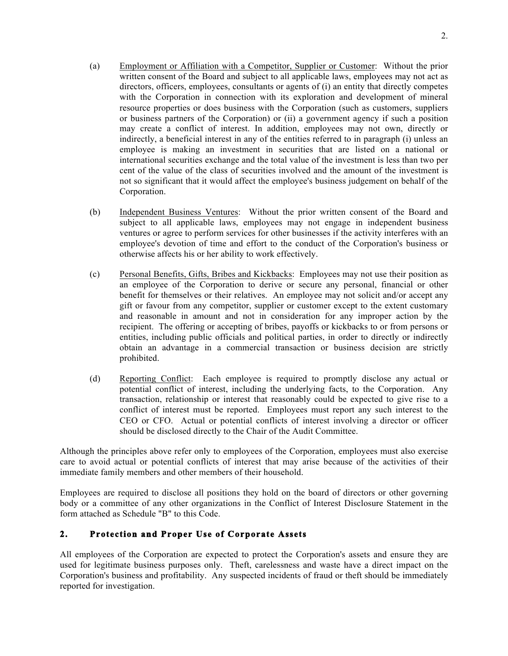- (a) Employment or Affiliation with a Competitor, Supplier or Customer: Without the prior written consent of the Board and subject to all applicable laws, employees may not act as directors, officers, employees, consultants or agents of (i) an entity that directly competes with the Corporation in connection with its exploration and development of mineral resource properties or does business with the Corporation (such as customers, suppliers or business partners of the Corporation) or (ii) a government agency if such a position may create a conflict of interest. In addition, employees may not own, directly or indirectly, a beneficial interest in any of the entities referred to in paragraph (i) unless an employee is making an investment in securities that are listed on a national or international securities exchange and the total value of the investment is less than two per cent of the value of the class of securities involved and the amount of the investment is not so significant that it would affect the employee's business judgement on behalf of the Corporation.
- (b) Independent Business Ventures: Without the prior written consent of the Board and subject to all applicable laws, employees may not engage in independent business ventures or agree to perform services for other businesses if the activity interferes with an employee's devotion of time and effort to the conduct of the Corporation's business or otherwise affects his or her ability to work effectively.
- (c) Personal Benefits, Gifts, Bribes and Kickbacks: Employees may not use their position as an employee of the Corporation to derive or secure any personal, financial or other benefit for themselves or their relatives. An employee may not solicit and/or accept any gift or favour from any competitor, supplier or customer except to the extent customary and reasonable in amount and not in consideration for any improper action by the recipient. The offering or accepting of bribes, payoffs or kickbacks to or from persons or entities, including public officials and political parties, in order to directly or indirectly obtain an advantage in a commercial transaction or business decision are strictly prohibited.
- (d) Reporting Conflict: Each employee is required to promptly disclose any actual or potential conflict of interest, including the underlying facts, to the Corporation. Any transaction, relationship or interest that reasonably could be expected to give rise to a conflict of interest must be reported. Employees must report any such interest to the CEO or CFO. Actual or potential conflicts of interest involving a director or officer should be disclosed directly to the Chair of the Audit Committee.

Although the principles above refer only to employees of the Corporation, employees must also exercise care to avoid actual or potential conflicts of interest that may arise because of the activities of their immediate family members and other members of their household.

Employees are required to disclose all positions they hold on the board of directors or other governing body or a committee of any other organizations in the Conflict of Interest Disclosure Statement in the form attached as Schedule "B" to this Code.

# **2. Protection and Proper Use of Corporate Assets**

All employees of the Corporation are expected to protect the Corporation's assets and ensure they are used for legitimate business purposes only. Theft, carelessness and waste have a direct impact on the Corporation's business and profitability. Any suspected incidents of fraud or theft should be immediately reported for investigation.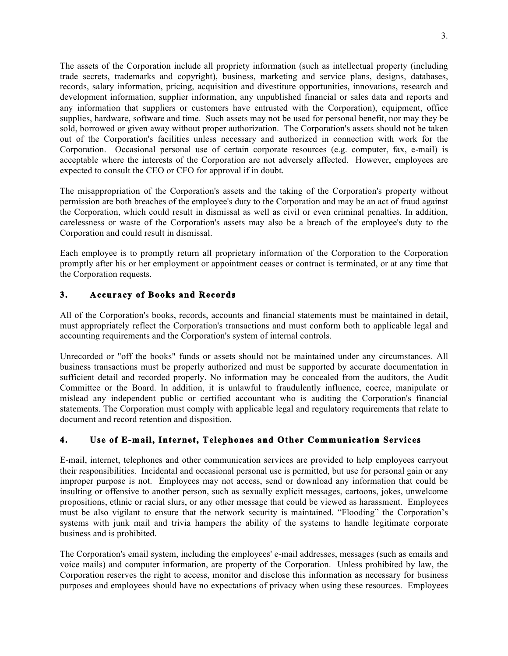The assets of the Corporation include all propriety information (such as intellectual property (including trade secrets, trademarks and copyright), business, marketing and service plans, designs, databases, records, salary information, pricing, acquisition and divestiture opportunities, innovations, research and development information, supplier information, any unpublished financial or sales data and reports and any information that suppliers or customers have entrusted with the Corporation), equipment, office supplies, hardware, software and time. Such assets may not be used for personal benefit, nor may they be sold, borrowed or given away without proper authorization. The Corporation's assets should not be taken out of the Corporation's facilities unless necessary and authorized in connection with work for the Corporation. Occasional personal use of certain corporate resources (e.g. computer, fax, e-mail) is acceptable where the interests of the Corporation are not adversely affected. However, employees are expected to consult the CEO or CFO for approval if in doubt.

The misappropriation of the Corporation's assets and the taking of the Corporation's property without permission are both breaches of the employee's duty to the Corporation and may be an act of fraud against the Corporation, which could result in dismissal as well as civil or even criminal penalties. In addition, carelessness or waste of the Corporation's assets may also be a breach of the employee's duty to the Corporation and could result in dismissal.

Each employee is to promptly return all proprietary information of the Corporation to the Corporation promptly after his or her employment or appointment ceases or contract is terminated, or at any time that the Corporation requests.

## **3. Accuracy of Books and Records**

All of the Corporation's books, records, accounts and financial statements must be maintained in detail, must appropriately reflect the Corporation's transactions and must conform both to applicable legal and accounting requirements and the Corporation's system of internal controls.

Unrecorded or "off the books" funds or assets should not be maintained under any circumstances. All business transactions must be properly authorized and must be supported by accurate documentation in sufficient detail and recorded properly. No information may be concealed from the auditors, the Audit Committee or the Board. In addition, it is unlawful to fraudulently influence, coerce, manipulate or mislead any independent public or certified accountant who is auditing the Corporation's financial statements. The Corporation must comply with applicable legal and regulatory requirements that relate to document and record retention and disposition.

## **4. Use of E-mail, Internet, Telephones and Other Communication Services**

E-mail, internet, telephones and other communication services are provided to help employees carryout their responsibilities. Incidental and occasional personal use is permitted, but use for personal gain or any improper purpose is not. Employees may not access, send or download any information that could be insulting or offensive to another person, such as sexually explicit messages, cartoons, jokes, unwelcome propositions, ethnic or racial slurs, or any other message that could be viewed as harassment. Employees must be also vigilant to ensure that the network security is maintained. "Flooding" the Corporation's systems with junk mail and trivia hampers the ability of the systems to handle legitimate corporate business and is prohibited.

The Corporation's email system, including the employees' e-mail addresses, messages (such as emails and voice mails) and computer information, are property of the Corporation. Unless prohibited by law, the Corporation reserves the right to access, monitor and disclose this information as necessary for business purposes and employees should have no expectations of privacy when using these resources. Employees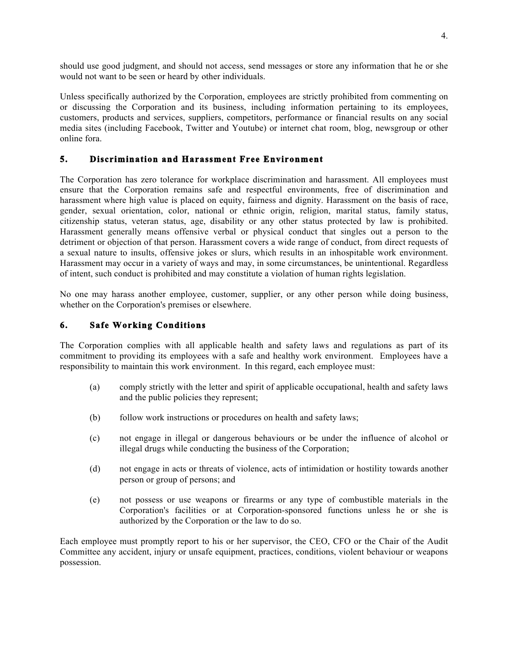should use good judgment, and should not access, send messages or store any information that he or she would not want to be seen or heard by other individuals.

Unless specifically authorized by the Corporation, employees are strictly prohibited from commenting on or discussing the Corporation and its business, including information pertaining to its employees, customers, products and services, suppliers, competitors, performance or financial results on any social media sites (including Facebook, Twitter and Youtube) or internet chat room, blog, newsgroup or other online fora.

#### **5. Discrimination and Harassment Free Environment**

The Corporation has zero tolerance for workplace discrimination and harassment. All employees must ensure that the Corporation remains safe and respectful environments, free of discrimination and harassment where high value is placed on equity, fairness and dignity. Harassment on the basis of race, gender, sexual orientation, color, national or ethnic origin, religion, marital status, family status, citizenship status, veteran status, age, disability or any other status protected by law is prohibited. Harassment generally means offensive verbal or physical conduct that singles out a person to the detriment or objection of that person. Harassment covers a wide range of conduct, from direct requests of a sexual nature to insults, offensive jokes or slurs, which results in an inhospitable work environment. Harassment may occur in a variety of ways and may, in some circumstances, be unintentional. Regardless of intent, such conduct is prohibited and may constitute a violation of human rights legislation.

No one may harass another employee, customer, supplier, or any other person while doing business, whether on the Corporation's premises or elsewhere.

#### **6. Safe Working Conditions**

The Corporation complies with all applicable health and safety laws and regulations as part of its commitment to providing its employees with a safe and healthy work environment. Employees have a responsibility to maintain this work environment. In this regard, each employee must:

- (a) comply strictly with the letter and spirit of applicable occupational, health and safety laws and the public policies they represent;
- (b) follow work instructions or procedures on health and safety laws;
- (c) not engage in illegal or dangerous behaviours or be under the influence of alcohol or illegal drugs while conducting the business of the Corporation;
- (d) not engage in acts or threats of violence, acts of intimidation or hostility towards another person or group of persons; and
- (e) not possess or use weapons or firearms or any type of combustible materials in the Corporation's facilities or at Corporation-sponsored functions unless he or she is authorized by the Corporation or the law to do so.

Each employee must promptly report to his or her supervisor, the CEO, CFO or the Chair of the Audit Committee any accident, injury or unsafe equipment, practices, conditions, violent behaviour or weapons possession.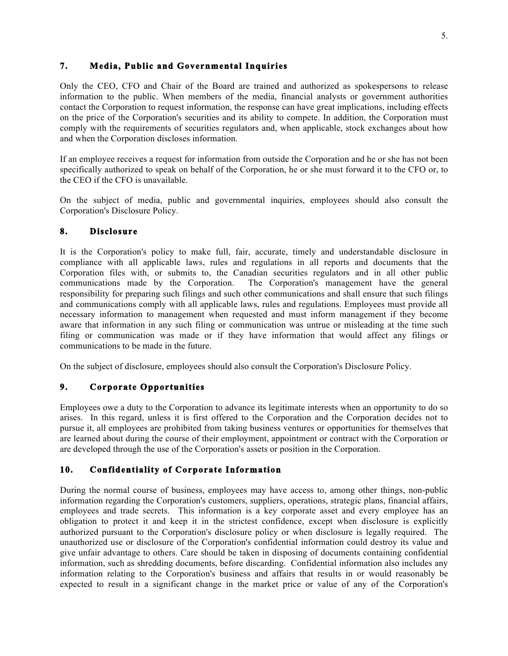## **7. Media, Public and Governmental Inquiries**

Only the CEO, CFO and Chair of the Board are trained and authorized as spokespersons to release information to the public. When members of the media, financial analysts or government authorities contact the Corporation to request information, the response can have great implications, including effects on the price of the Corporation's securities and its ability to compete. In addition, the Corporation must comply with the requirements of securities regulators and, when applicable, stock exchanges about how and when the Corporation discloses information.

If an employee receives a request for information from outside the Corporation and he or she has not been specifically authorized to speak on behalf of the Corporation, he or she must forward it to the CFO or, to the CEO if the CFO is unavailable.

On the subject of media, public and governmental inquiries, employees should also consult the Corporation's Disclosure Policy.

#### **8. Disclosure**

It is the Corporation's policy to make full, fair, accurate, timely and understandable disclosure in compliance with all applicable laws, rules and regulations in all reports and documents that the Corporation files with, or submits to, the Canadian securities regulators and in all other public communications made by the Corporation. The Corporation's management have the general responsibility for preparing such filings and such other communications and shall ensure that such filings and communications comply with all applicable laws, rules and regulations. Employees must provide all necessary information to management when requested and must inform management if they become aware that information in any such filing or communication was untrue or misleading at the time such filing or communication was made or if they have information that would affect any filings or communications to be made in the future.

On the subject of disclosure, employees should also consult the Corporation's Disclosure Policy.

## **9. Corporate Opportunities**

Employees owe a duty to the Corporation to advance its legitimate interests when an opportunity to do so arises. In this regard, unless it is first offered to the Corporation and the Corporation decides not to pursue it, all employees are prohibited from taking business ventures or opportunities for themselves that are learned about during the course of their employment, appointment or contract with the Corporation or are developed through the use of the Corporation's assets or position in the Corporation.

## **10. Confidentiality of Corporate Information**

During the normal course of business, employees may have access to, among other things, non-public information regarding the Corporation's customers, suppliers, operations, strategic plans, financial affairs, employees and trade secrets. This information is a key corporate asset and every employee has an obligation to protect it and keep it in the strictest confidence, except when disclosure is explicitly authorized pursuant to the Corporation's disclosure policy or when disclosure is legally required. The unauthorized use or disclosure of the Corporation's confidential information could destroy its value and give unfair advantage to others. Care should be taken in disposing of documents containing confidential information, such as shredding documents, before discarding. Confidential information also includes any information relating to the Corporation's business and affairs that results in or would reasonably be expected to result in a significant change in the market price or value of any of the Corporation's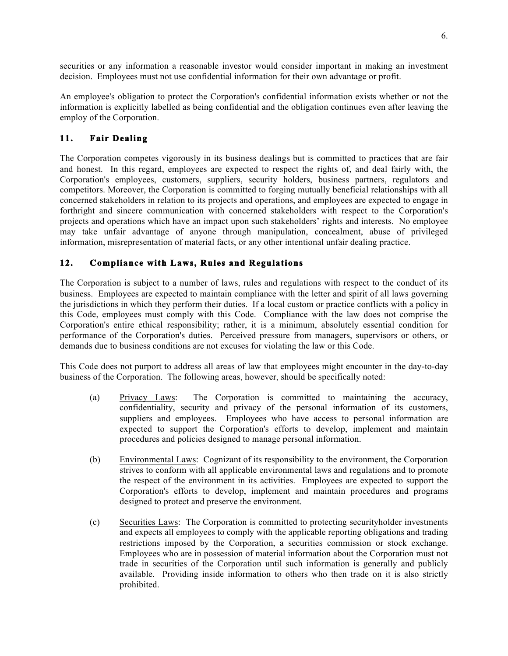securities or any information a reasonable investor would consider important in making an investment decision. Employees must not use confidential information for their own advantage or profit.

An employee's obligation to protect the Corporation's confidential information exists whether or not the information is explicitly labelled as being confidential and the obligation continues even after leaving the employ of the Corporation.

## **11. Fair Dealing**

The Corporation competes vigorously in its business dealings but is committed to practices that are fair and honest. In this regard, employees are expected to respect the rights of, and deal fairly with, the Corporation's employees, customers, suppliers, security holders, business partners, regulators and competitors. Moreover, the Corporation is committed to forging mutually beneficial relationships with all concerned stakeholders in relation to its projects and operations, and employees are expected to engage in forthright and sincere communication with concerned stakeholders with respect to the Corporation's projects and operations which have an impact upon such stakeholders' rights and interests. No employee may take unfair advantage of anyone through manipulation, concealment, abuse of privileged information, misrepresentation of material facts, or any other intentional unfair dealing practice.

## **12. Compliance with Laws, Rules and Regulations**

The Corporation is subject to a number of laws, rules and regulations with respect to the conduct of its business. Employees are expected to maintain compliance with the letter and spirit of all laws governing the jurisdictions in which they perform their duties. If a local custom or practice conflicts with a policy in this Code, employees must comply with this Code. Compliance with the law does not comprise the Corporation's entire ethical responsibility; rather, it is a minimum, absolutely essential condition for performance of the Corporation's duties. Perceived pressure from managers, supervisors or others, or demands due to business conditions are not excuses for violating the law or this Code.

This Code does not purport to address all areas of law that employees might encounter in the day-to-day business of the Corporation. The following areas, however, should be specifically noted:

- (a) Privacy Laws: The Corporation is committed to maintaining the accuracy, confidentiality, security and privacy of the personal information of its customers, suppliers and employees. Employees who have access to personal information are expected to support the Corporation's efforts to develop, implement and maintain procedures and policies designed to manage personal information.
- (b) Environmental Laws: Cognizant of its responsibility to the environment, the Corporation strives to conform with all applicable environmental laws and regulations and to promote the respect of the environment in its activities. Employees are expected to support the Corporation's efforts to develop, implement and maintain procedures and programs designed to protect and preserve the environment.
- (c) Securities Laws: The Corporation is committed to protecting securityholder investments and expects all employees to comply with the applicable reporting obligations and trading restrictions imposed by the Corporation, a securities commission or stock exchange. Employees who are in possession of material information about the Corporation must not trade in securities of the Corporation until such information is generally and publicly available. Providing inside information to others who then trade on it is also strictly prohibited.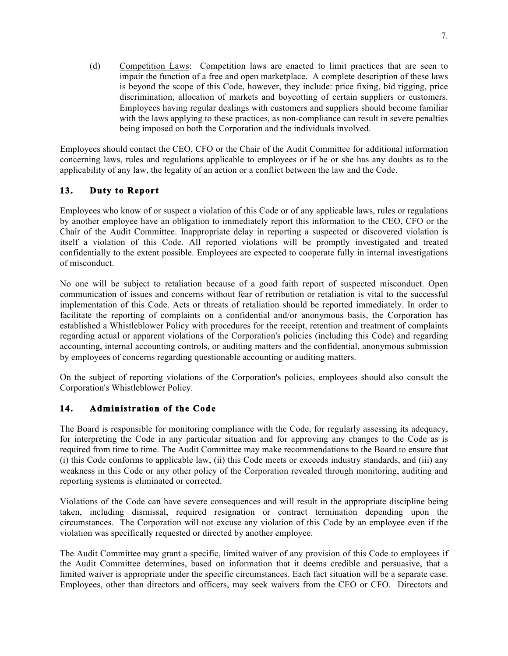(d) Competition Laws: Competition laws are enacted to limit practices that are seen to impair the function of a free and open marketplace. A complete description of these laws is beyond the scope of this Code, however, they include: price fixing, bid rigging, price discrimination, allocation of markets and boycotting of certain suppliers or customers. Employees having regular dealings with customers and suppliers should become familiar with the laws applying to these practices, as non-compliance can result in severe penalties being imposed on both the Corporation and the individuals involved.

Employees should contact the CEO, CFO or the Chair of the Audit Committee for additional information concerning laws, rules and regulations applicable to employees or if he or she has any doubts as to the applicability of any law, the legality of an action or a conflict between the law and the Code.

# **13. Duty to Report**

Employees who know of or suspect a violation of this Code or of any applicable laws, rules or regulations by another employee have an obligation to immediately report this information to the CEO, CFO or the Chair of the Audit Committee. Inappropriate delay in reporting a suspected or discovered violation is itself a violation of this Code. All reported violations will be promptly investigated and treated confidentially to the extent possible. Employees are expected to cooperate fully in internal investigations of misconduct.

No one will be subject to retaliation because of a good faith report of suspected misconduct. Open communication of issues and concerns without fear of retribution or retaliation is vital to the successful implementation of this Code. Acts or threats of retaliation should be reported immediately. In order to facilitate the reporting of complaints on a confidential and/or anonymous basis, the Corporation has established a Whistleblower Policy with procedures for the receipt, retention and treatment of complaints regarding actual or apparent violations of the Corporation's policies (including this Code) and regarding accounting, internal accounting controls, or auditing matters and the confidential, anonymous submission by employees of concerns regarding questionable accounting or auditing matters.

On the subject of reporting violations of the Corporation's policies, employees should also consult the Corporation's Whistleblower Policy.

## **14. Administration of the Code**

The Board is responsible for monitoring compliance with the Code, for regularly assessing its adequacy, for interpreting the Code in any particular situation and for approving any changes to the Code as is required from time to time. The Audit Committee may make recommendations to the Board to ensure that (i) this Code conforms to applicable law, (ii) this Code meets or exceeds industry standards, and (iii) any weakness in this Code or any other policy of the Corporation revealed through monitoring, auditing and reporting systems is eliminated or corrected.

Violations of the Code can have severe consequences and will result in the appropriate discipline being taken, including dismissal, required resignation or contract termination depending upon the circumstances. The Corporation will not excuse any violation of this Code by an employee even if the violation was specifically requested or directed by another employee.

The Audit Committee may grant a specific, limited waiver of any provision of this Code to employees if the Audit Committee determines, based on information that it deems credible and persuasive, that a limited waiver is appropriate under the specific circumstances. Each fact situation will be a separate case. Employees, other than directors and officers, may seek waivers from the CEO or CFO. Directors and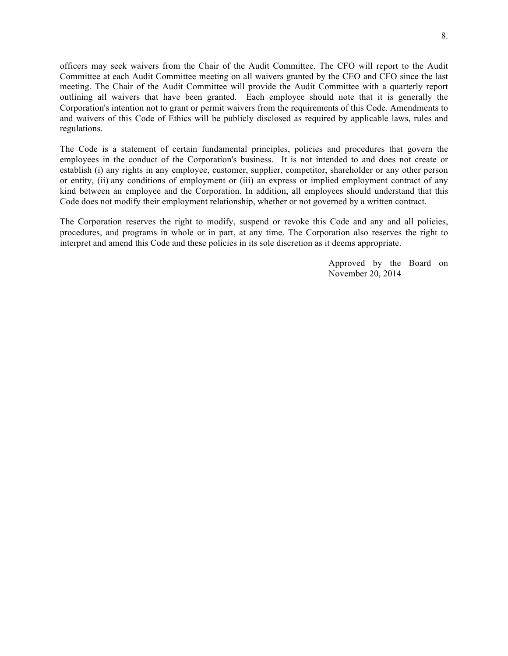officers may seek waivers from the Chair of the Audit Committee. The CFO will report to the Audit Committee at each Audit Committee meeting on all waivers granted by the CEO and CFO since the last meeting. The Chair of the Audit Committee will provide the Audit Committee with a quarterly report outlining all waivers that have been granted. Each employee should note that it is generally the Corporation's intention not to grant or permit waivers from the requirements of this Code. Amendments to and waivers of this Code of Ethics will be publicly disclosed as required by applicable laws, rules and regulations.

The Code is a statement of certain fundamental principles, policies and procedures that govern the employees in the conduct of the Corporation's business. It is not intended to and does not create or establish (i) any rights in any employee, customer, supplier, competitor, shareholder or any other person or entity, (ii) any conditions of employment or (iii) an express or implied employment contract of any kind between an employee and the Corporation. In addition, all employees should understand that this Code does not modify their employment relationship, whether or not governed by a written contract.

The Corporation reserves the right to modify, suspend or revoke this Code and any and all policies, procedures, and programs in whole or in part, at any time. The Corporation also reserves the right to interpret and amend this Code and these policies in its sole discretion as it deems appropriate.

> Approved by the Board on November 20, 2014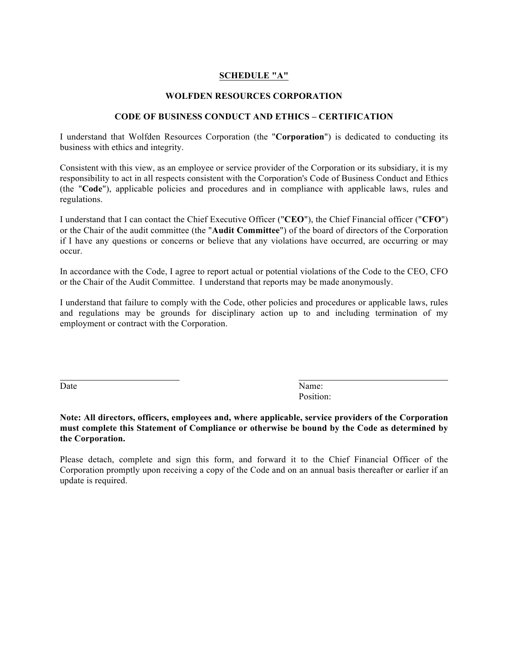#### **SCHEDULE "A"**

#### **WOLFDEN RESOURCES CORPORATION**

#### **CODE OF BUSINESS CONDUCT AND ETHICS – CERTIFICATION**

I understand that Wolfden Resources Corporation (the "**Corporation**") is dedicated to conducting its business with ethics and integrity.

Consistent with this view, as an employee or service provider of the Corporation or its subsidiary, it is my responsibility to act in all respects consistent with the Corporation's Code of Business Conduct and Ethics (the "**Code**"), applicable policies and procedures and in compliance with applicable laws, rules and regulations.

I understand that I can contact the Chief Executive Officer ("**CEO**"), the Chief Financial officer ("**CFO**") or the Chair of the audit committee (the "**Audit Committee**") of the board of directors of the Corporation if I have any questions or concerns or believe that any violations have occurred, are occurring or may occur.

In accordance with the Code, I agree to report actual or potential violations of the Code to the CEO, CFO or the Chair of the Audit Committee. I understand that reports may be made anonymously.

I understand that failure to comply with the Code, other policies and procedures or applicable laws, rules and regulations may be grounds for disciplinary action up to and including termination of my employment or contract with the Corporation.

Date Name: Position:

#### **Note: All directors, officers, employees and, where applicable, service providers of the Corporation must complete this Statement of Compliance or otherwise be bound by the Code as determined by the Corporation.**

Please detach, complete and sign this form, and forward it to the Chief Financial Officer of the Corporation promptly upon receiving a copy of the Code and on an annual basis thereafter or earlier if an update is required.